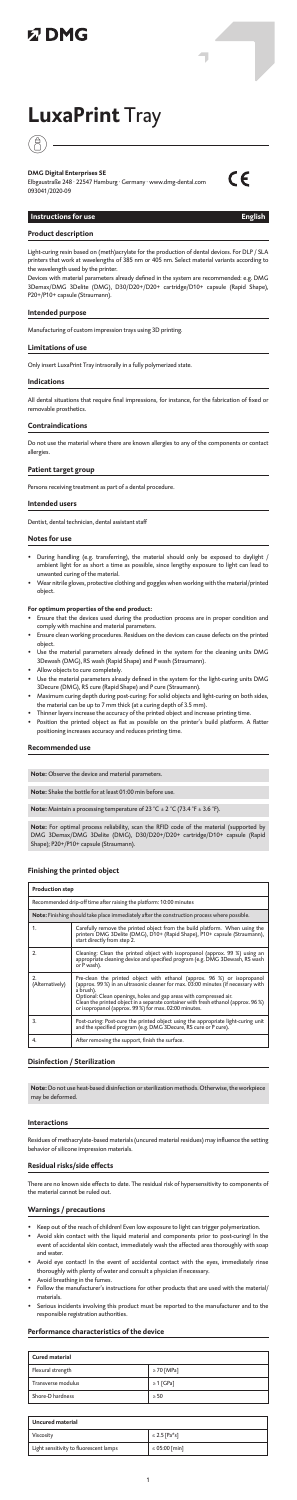# **以DMG**

# **LuxaPrint** Tray

# *(*)

**DMG Digital Enterprises SE** Elbgaustraße 248 · 22547 Hamburg · Germany · www.dmg-dental.com 093041/2020-09



ī

# **Instructions for use English**

**Product description**

Light-curing resin based on (meth)acrylate for the production of dental devices. For DLP / SLA printers that work at wavelengths of 385 nm or 405 nm. Select material variants according to the wavelength used by the printer.

Devices with material parameters already defined in the system are recommended: e.g. DMG 3Demax/DMG 3Delite (DMG), D30/D20+/D20+ cartridge/D10+ capsule (Rapid Shape), P20+/P10+ capsule (Straumann).

# **Intended purpose**

Manufacturing of custom impression trays using 3D printing.

#### **Limitations of use**

Only insert LuxaPrint Tray intraorally in a fully polymerized state.

#### **Indications**

All dental situations that require final impressions, for instance, for the fabrication of fixed or removable prosthetics.

#### **Contraindications**

Do not use the material where there are known allergies to any of the components or contact allergies.

#### **Patient target group**

Persons receiving treatment as part of a dental procedure.

#### **Intended users**

Dentist, dental technician, dental assistant staff

#### **Notes for use**

- During handling (e.g. transferring), the material should only be exposed to daylight / ambient light for as short a time as possible, since lengthy exposure to light can lead to unwanted curing of the material.
- Wear nitrile gloves, protective clothing and goggles when working with the material/printed object.

- **For optimum properties of the end product:** Ensure that the devices used during the production process are in proper condition and comply with machine and material parameters.
- Ensure clean working procedures. Residues on the devices can cause defects on the printed object.<br>Use the material pa
- rameters already defined in the system for the cleaning units DMG 3Dewash (DMG), RS wash (Rapid Shape) and P wash (Straumann).
- Allow objects to cure completely.
- Use the material parameters already defined in the system for the light-curing units DMG 3Decure (DMG), RS cure (Rapid Shape) and P cure (Straumann).
- Maximum curing depth during post-curing: For solid objects and light-curing on both sides, the material can be up to 7 mm thick (at a curing depth of 3.5 mm).
- Thinner layers increase the accuracy of the printed object and increase printing time. • Position the printed object as flat as possible on the printer's build platform. A flatter positioning increases accuracy and reduces printing time.

#### **Recommended use**

**Note:** Observe the device and material parameters.

**Note:** Shake the bottle for at least 01:00 min before use.

**Note:** Maintain a processing temperature of 23 °C ± 2 °C (73.4 °F ± 3.6 °F).

**Note:** For optimal process reliability, scan the RFID code of the material (supported by DMG 3Demax/DMG 3Delite (DMG), D30/D20+/D20+ cartridge/D10+ capsule (Rapid Shape); P20+/P10+ capsule (Straumann).

#### **Finishing the printed object**

| <b>Production step</b>                                              |                                                                                                                                                                                                                                                                                                                                                                                               |  |
|---------------------------------------------------------------------|-----------------------------------------------------------------------------------------------------------------------------------------------------------------------------------------------------------------------------------------------------------------------------------------------------------------------------------------------------------------------------------------------|--|
| Recommended drip-off time after raising the platform: 10:00 minutes |                                                                                                                                                                                                                                                                                                                                                                                               |  |
|                                                                     | Note: Finishing should take place immediately after the construction process where possible.                                                                                                                                                                                                                                                                                                  |  |
| 1.                                                                  | Carefully remove the printed object from the build platform. When using the<br>printers DMG 3Delite (DMG), D10+ (Rapid Shape), P10+ capsule (Straumann),<br>start directly from step 2.                                                                                                                                                                                                       |  |
| 2.                                                                  | Cleaning: Clean the printed object with isopropanol (approx. 99 %) using an<br>appropriate cleaning device and specified program (e.g. DMG 3Dewash, RS wash<br>or P wash).                                                                                                                                                                                                                    |  |
| 2.<br>(Alternatively)                                               | Pre-clean the printed object with ethanol (approx. 96 %) or isopropanol<br>(approx. 99 %) in an ultrasonic cleaner for max. 03:00 minutes (if necessary with<br>a brush).<br>Optional: Clean openings, holes and gap areas with compressed air.<br>Clean the printed object in a separate container with fresh ethanol (approx. 96%)<br>or isopropanol (approx. 99 %) for max. 02:00 minutes. |  |
| 3.                                                                  | Post-curing: Post-cure the printed object using the appropriate light-curing unit<br>and the specified program (e.g. DMG 3Decure, RS cure or P cure).                                                                                                                                                                                                                                         |  |
| 4.                                                                  | After removing the support, finish the surface.                                                                                                                                                                                                                                                                                                                                               |  |

#### **Disinfection / Sterilization**

**Note:** Do not use heat-based disinfection or sterilization methods. Otherwise, the workpiece may be deformed.

#### **Interactions**

Residues of methacrylate-based materials (uncured material residues) may influence the setting behavior of silicone impression materials.

#### **Residual risks/side effects**

There are no known side effects to date. The residual risk of hypersensitivity to components of the material cannot be ruled out.

### **Warnings / precautions**

- Keep out of the reach of children! Even low exposure to light can trigger polymerization.
- Avoid skin contact with the liquid material and components prior to post-curing! In the event of accidental skin contact, immediately wash the affected area thoroughly with soap and water.
- Avoid eye contact! In the event of accidental contact with the eyes, immediately rinse thoroughly with plenty of water and consult a physician if necessary.
- Avoid breathing in the fumes.
- Follow the manufacturer's instructions for other products that are used with the material/ materials.
- Serious incidents involving this product must be reported to the manufacturer and to the responsible registration authorities.

#### **Performance characteristics of the device**

| <b>Cured material</b> |                 |  |
|-----------------------|-----------------|--|
| Flexural strength     | $\geq 70$ [MPa] |  |
| Transverse modulus    | $\geq 1$ [GPa]  |  |
| Shore-D hardness      | > 50            |  |

| <b>Uncured material</b>                |                    |  |
|----------------------------------------|--------------------|--|
| Viscosity                              | $\leq$ 2.5 [Pa*s]  |  |
| Light sensitivity to fluorescent lamps | $\leq 05:00$ [min] |  |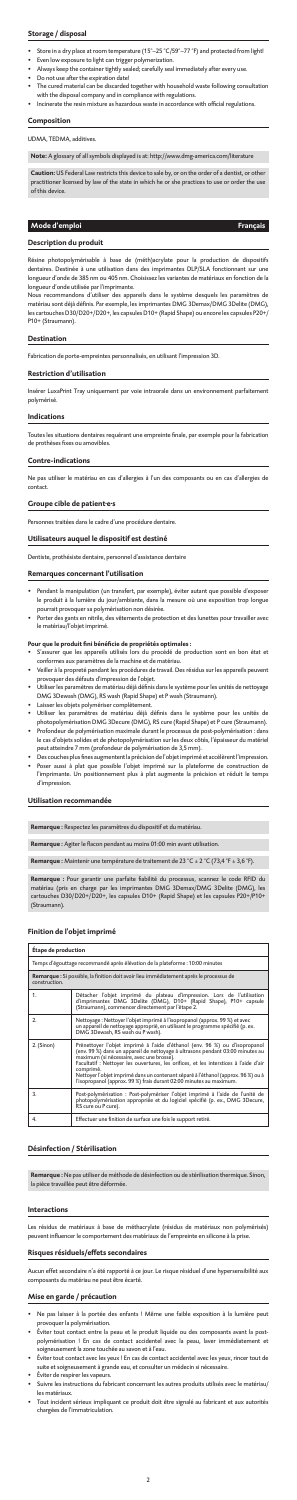# **Storage / disposal**

- Store in a dry place at room temperature (15°-25 °C/59°-77 °F) and protected from light!
- Even low exposure to light can trigger polymerization.
- Always keep the container tightly sealed; carefully seal immediately after every use.
- Do not use after the expiration date!
- The cured material can be discarded together with household waste following consultation with the disposal company and in compliance with regulations.
- Incinerate the resin mixture as hazardous waste in accordance with official regulations.

**ition:** US Federal Law restricts this device to sale by, or on the order of a dentist, or other practitioner licensed by law of the state in which he or she practices to use or order the use of this device.

# **Composition**

UDMA, TEDMA, additives.

**Note:** A glossary of all symbols displayed is at: http://www.dmg-america.com/literature

# **Mode d'emploi Français**

#### **Description du produit**

Résine photopolymérisable à base de (méth)acrylate pour la production de dispositifs dentaires. Destinée à une utilisation dans des imprimantes DLP/SLA fonctionnant sur une longueur d'onde de 385 nm ou 405 nm. Choisissez les variantes de matériaux en fonction de la longueur d'onde utilisée par l'imprimante.

- $\overline{\phantom{\alpha}}$ nt la manipulation (un transfert, par exemple), éviter autant que possible d'exposer le produit à la lumière du jour/ambiante, dans la mesure où une exposition trop longue pourrait provoquer sa polymérisation non désirée.
- Porter des gants en nitrile, des vêtements de protection et des lunettes pour travailler avec le matériau/l'objet imprimé.

Nous recommandons d'utiliser des appareils dans le système desquels les paramètres de matériau sont déjà définis. Par exemple, les imprimantes DMG 3Demax/DMG 3Delite (DMG), les cartouches D30/D20+/D20+, les capsules D10+ (Rapid Shape) ou encore les capsules P20+/ P10+ (Straumann).

#### **Destination**

Fabrication de porte-empreintes personnalisés, en utilisant l'impression 3D.

#### **Restriction d'utilisation**

Insérer LuxaPrint Tray uniquement par voie intraorale dans un environnement parfaitement polymérisé.

#### **Indications**

Toutes les situations dentaires requérant une empreinte finale, par exemple pour la fabrication de prothèses fixes ou amovibles.

#### **Contre-indications**

Ne pas utiliser le matériau en cas d'allergies à l'un des composants ou en cas d'allergies de contact.

#### **Groupe cible de patient·e·s**

es traitées dans le cadre d'une procédure dentaire.

#### **Utilisateurs auquel le dispositif est destiné**

Dentiste, prothésiste dentaire, personnel d'assistance dentaire

#### **Remarques concernant l'utilisation**

#### **Pour que le produit fini bénéficie de propriétés optimales :**

un effet secondaire n'a été rapporté à ce jour. Le risque résiduel d'une hypersensibilité au composants du matériau ne peut être écarté.

- S'assurer que les appareils utilisés lors du procédé de production sont en bon état et conformes aux paramètres de la machine et de matériau.
- Veiller à la propreté pendant les procédures de travail. Des résidus sur les appareils peuvent provoquer des défauts d'impression de l'objet.
- Utiliser les paramètres de matériau déjà définis dans le système pour les unités de nettoyage DMG 3Dewash (DMG), RS wash (Rapid Shape) et P wash (Straumann).
- Laisser les objets polymériser complètement.
- Utiliser les paramètres de matériau déjà définis dans le système pour les unités de
- photopolymérisation DMG 3Decure (DMG), RS cure (Rapid Shape) et P cure (Straumann). • Profondeur de polymérisation maximale durant le processus de post-polymérisation : dans le cas d'objets solides et de photopolymérisation sur les deux côtés, l'épaisseur du matériel peut atteindre 7 mm (profondeur de polymérisation de 3,5 mm).
- Des couches plus fines augmentent la précision de l'objet imprimé et accélèrent l'impression. • Poser aussi à plat que possible l'objet imprimé sur la plateforme de construction de
- l'imprimante. Un positionnement plus à plat augmente la précision et réduit le temps d'impression.

#### **Utilisation recommandée**

**Remarque :** Respectez les paramètres du dispositif et du matériau.

**Remarque :** Agiter le flacon pendant au moins 01:00 min avant utilisation.

**Remarque :** Maintenir une température de traitement de 23 °C ± 2 °C (73,4 °F ± 3,6 °F).

**Remarque :** Pour garantir une parfaite fiabilité du processus, scannez le code RFID du matériau (pris en charge par les imprimantes DMG 3Demax/DMG 3Delite (DMG), les cartouches D30/D20+/D20+, les capsules D10+ (Rapid Shape) et les capsules P20+/P10+ (Straumann).

# **Finition de l'objet imprimé**

| Etape de production                                                                                      |                                                                                                                                                                                                                                                                                                                                                                                                                                                                              |  |
|----------------------------------------------------------------------------------------------------------|------------------------------------------------------------------------------------------------------------------------------------------------------------------------------------------------------------------------------------------------------------------------------------------------------------------------------------------------------------------------------------------------------------------------------------------------------------------------------|--|
| Temps d'égouttage recommandé après élévation de la plateforme : 10:00 minutes                            |                                                                                                                                                                                                                                                                                                                                                                                                                                                                              |  |
| Remarque : Si possible, la finition doit avoir lieu immédiatement après le processus de<br>construction. |                                                                                                                                                                                                                                                                                                                                                                                                                                                                              |  |
| 1.                                                                                                       | Détacher l'objet imprimé du plateau d'impression. Lors de l'utilisation<br>d'imprimantes DMG 3Delite (DMG), D10+ (Rapid Shape), P10+ capsule<br>(Straumann), commencer directement par l'étape 2.                                                                                                                                                                                                                                                                            |  |
| 2.                                                                                                       | Nettoyage : Nettoyer l'objet imprimé à l'isopropanol (approx. 99 %) et avec<br>un appareil de nettoyage approprié, en utilisant le programme spécifié (p. ex.<br>DMG 3Dewash, RS wash ou P wash).                                                                                                                                                                                                                                                                            |  |
| 2. (Sinon)                                                                                               | Prénettoyer l'objet imprimé à l'aide d'éthanol (env. 96 %) ou d'isopropanol<br>(env. 99 %) dans un appareil de nettoyage à ultrasons pendant 03:00 minutes au<br>maximum (si nécessaire, avec une brosse).<br>Facultatif : Nettoyer les ouvertures, les orifices, et les interstices à l'aide d'air<br>comprimé.<br>Nettoyer l'objet imprimé dans un contenant séparé à l'éthanol (approx. 96 %) ou à<br>l'isopropanol (approx. 99 %) frais durant 02:00 minutes au maximum. |  |
| 3.                                                                                                       | Post-polymérisation : Post-polymériser l'objet imprimé à l'aide de l'unité de<br>photopolymérisation appropriée et du logiciel spécifié (p. ex., DMG 3Decure,<br>RS cure ou P cure).                                                                                                                                                                                                                                                                                         |  |
| 4.                                                                                                       | Effectuer une finition de surface une fois le support retiré.                                                                                                                                                                                                                                                                                                                                                                                                                |  |

#### **Désinfection / Stérilisation**

**Remarque :** Ne pas utiliser de méthode de désinfection ou de stérilisation thermique. Sinon, la pièce travaillée peut être déformée.

#### **Interactions**

Les résidus de matériaux à base de méthacrylate (résidus de matériaux non polymérisés) peuvent influencer le comportement des matériaux de l'empreinte en silicone à la prise.

#### **Risques résiduels/effets secondaires**

#### **Mise en garde / précaution**

- Ne pas laisser à la portée des enfants ! Même une faible exposition à la lumière peut provoquer la polymérisation.
- Éviter tout contact entre la peau et le produit liquide ou des composants avant la postpolymérisation ! En cas de contact accidentel avec la peau, laver immédiatement et soigneusement la zone touchée au savon et à l'eau.
- Éviter tout contact avec les yeux ! En cas de contact accidentel avec les yeux, rincer tout de suite et soigneusement à grande eau, et consulter un médecin si nécessaire.
- Éviter de respirer les vapeurs.
- Suivre les instructions du fabricant concernant les autres produits utilisés avec le matériau/ les matériaux.
- Tout incident sérieux impliquant ce produit doit être signalé au fabricant et aux autorités chargées de l'immatriculation.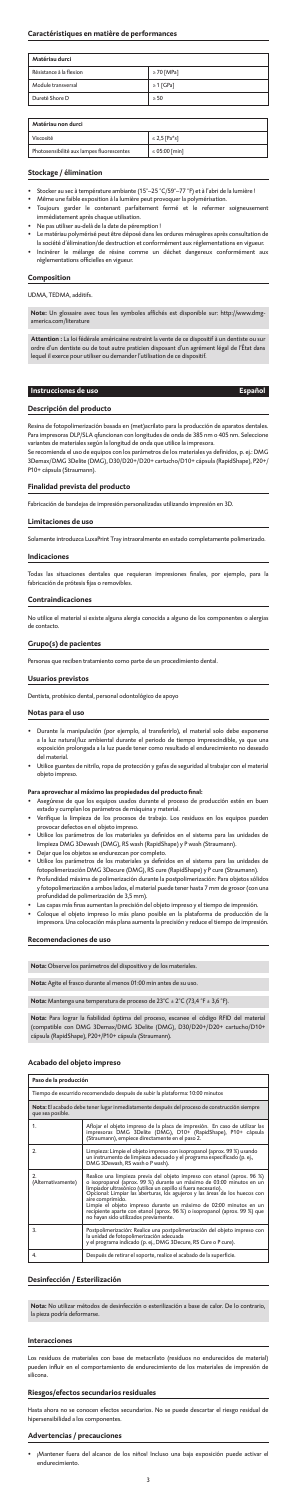### **Caractéristiques en matière de performances**

| Matériau durci          |                 |  |
|-------------------------|-----------------|--|
| Résistance à la flexion | $\geq 70$ [MPa] |  |
| Module transversal      | $\geq 1$ [GPa]  |  |
| Dureté Shore D          | > 50            |  |

| Matériau non durci                        |                   |  |
|-------------------------------------------|-------------------|--|
| Viscosité                                 | $\leq$ 2,5 [Pa*s] |  |
| Photosensibilité aux lampes fluorescentes | ≤ 05:00 [min]     |  |

#### **Stockage / élimination**

- Stocker au sec à température ambiante (15°–25 °C/59°–77 °F) et à l'abri de la lumière !
- Même une faible exposition à la lumière peut provoquer la polymérisation.
- Toujours garder le contenant parfaitement fermé et le refermer soigneuse immédiatement après chaque utilisation.
- Ne pas utiliser au-delà de la date de péremption !
- Le matériau polymérisé peut être déposé dans les ordures ménagères après consultation de la société d'élimination/de destruction et conformément aux réglementations en vigueur.
- Incinérer le mélange de résine comme un déchet dangereux conformém réglementations officielles en vigueur.

#### **Composition**

UDMA, TEDMA, additifs.

**Note:** Un glossaire avec tous les symboles affichés est disponible sur: http://www.dmgamerica.com/literature

**Attention :** La loi fédérale américaine restreint la vente de ce dispositif à un dentiste ou sur ordre d'un dentiste ou de tout autre praticien disposant d'un agrément légal de l'État dans lequel il exerce pour utiliser ou demander l'utilisation de ce dispositif.

# **Instrucciones de uso Español**

#### **Descripción del producto**

- Durante la manipulación (por ejemplo, al transferirlo), el material solo debe expone a la luz natural/luz ambiental durante el periodo de tiempo imprescindible, ya que una exposición prolongada a la luz puede tener como resultado el endurecimiento no deseado del material.
- Utilice guantes de nitrilo, ropa de protección y gafas de seguridad al trabajar con el material objeto impreso.

Resina de fotopolimerización basada en (met)acrilato para la producción de aparatos dentales. Para impresoras DLP/SLA qfuncionan con longitudes de onda de 385 nm o 405 nm. Seleccione variantes de materiales según la longitud de onda que utilice la impresora.

Se recomienda el uso de equipos con los parámetros de los materiales ya definidos, p. ej.: DMG 3Demax/DMG 3Delite (DMG), D30/D20+/D20+ cartucho/D10+ cápsula (RapidShape), P20+/ P10+ cápsula (Straumann).

#### **Finalidad prevista del producto**

Fabricación de bandejas de impresión personalizadas utilizando impresión en 3D.

#### **Limitaciones de uso**

imente introduzca LuxaPrint Tray intraoralmente en estado completamente polimerizado.

#### **Indicaciones**

Todas las situaciones dentales que requieran impresiones finales, por ejemplo, para la fabricación de prótesis fijas o removibles.

#### **Contraindicaciones**

No utilice el material si existe alguna alergia conocida a alguno de los componentes o alergias de contacto.

# **Grupo(s) de pacientes**

Personas que reciben tratamiento como parte de un procedimiento dental.

#### **Usuarios previstos**

Dentista, protésico dental, personal odontológico de apoyo

#### **Notas para el uso**

Los residuos de materiales con base de metacrilato (residuos no endurecidos de material) reden influir en el comportamiento de endurecimiento de los materiales de impresión de r<br>silicona.

• ¡Mantener fuera del alcance de los niños! Incluso una baja exposición puede activar el <sub>.</sub><br>endurecimiento.

- **Para aprovechar al máximo las propiedades del producto final:** Asegúrese de que los equipos usados durante el proceso de producción estén en buen estado y cumplan los parámetros de máquina y material.
- Verifique la limpieza de los procesos de trabajo. Los residuos en los equipos pueden provocar defectos en el objeto impreso.
- Utilice los parámetros de los materiales ya definidos en el sistema para las unidades de limpieza DMG 3Dewash (DMG), RS wash (RapidShape) y P wash (Straumann).
- Dejar que los objetos se endurezcan por completo. • Utilice los parámetros de los materiales ya definidos en el sistema para las unidades de
- fotopolimerización DMG 3Decure (DMG), RS cure (RapidShape) y P cure (Straumann). • Profundidad máxima de polimerización durante la postpolimerización: Para objetos sólidos y fotopolimerización a ambos lados, el material puede tener hasta 7 mm de grosor (con una
- profundidad de polimerización de 3,5 mm).
- Las capas más finas aumentan la precisión del objeto impreso y el tiempo de impresión.
- Coloque el objeto impreso lo más plano posible en la plataforma de producción de la impresora. Una colocación más plana aumenta la precisión y reduce el tiempo de impresión.

# **Recomendaciones de uso**

**Nota:** Observe los parámetros del dispositivo y de los materiales.

Nota: Agite el frasco durante al menos 01:00 min antes de su us

**Nota:** Mantenga una temperatura de proceso de 23°C ± 2°C (73,4 °F ± 3,6 °F).

**Nota:** Para lograr la fiabilidad óptima del proceso, escanee el código RFID del material (compatible con DMG 3Demax/DMG 3Delite (DMG), D30/D20+/D20+ cartucho/D10+ cápsula (RapidShape), P20+/P10+ cápsula (Straumann).

#### **Acabado del objeto impreso**

| Paso de la producción                                                                                            |                                                                                                                                                                                                                                                                                                                                                                                                                                                                                                                  |  |
|------------------------------------------------------------------------------------------------------------------|------------------------------------------------------------------------------------------------------------------------------------------------------------------------------------------------------------------------------------------------------------------------------------------------------------------------------------------------------------------------------------------------------------------------------------------------------------------------------------------------------------------|--|
| Tiempo de escurrido recomendado después de subir la plataforma: 10:00 minutos                                    |                                                                                                                                                                                                                                                                                                                                                                                                                                                                                                                  |  |
| Nota: El acabado debe tener lugar inmediatamente después del proceso de construcción siempre<br>que sea posible. |                                                                                                                                                                                                                                                                                                                                                                                                                                                                                                                  |  |
| 1.                                                                                                               | Aflojar el objeto impreso de la placa de impresión. En caso de utilizar las<br>impresoras DMG 3Delite (DMG), D10+ (RapidShape), P10+ cápsula<br>(Straumann), empiece directamente en el paso 2.                                                                                                                                                                                                                                                                                                                  |  |
| 2.                                                                                                               | Limpieza: Limpie el objeto impreso con isopropanol (aprox. 99 %) usando<br>un instrumento de limpieza adecuado y el programa especificado (p. ej.,<br>DMG 3Dewash, RS wash o P wash).                                                                                                                                                                                                                                                                                                                            |  |
| 2.<br>(Alternativamente)                                                                                         | Realice una limpieza previa del objeto impreso con etanol (aprox. 96 %)<br>o isopropanol (aprox. 99 %) durante un máximo de 03:00 minutos en un<br>limpiador ultrasónico (utilice un cepillo si fuera necesario).<br>Opcional: Limpiar las aberturas, los agujeros y las áreas de los huecos con<br>aire comprimido.<br>Limpie el objeto impreso durante un máximo de 02:00 minutos en un<br>recipiente aparte con etanol (aprox. 96 %) o isopropanol (aprox. 99 %) que<br>no hayan sido utilizados previamente. |  |
| 3.                                                                                                               | Postpolimerización: Realice una postpolimerización del objeto impreso con<br>la unidad de fotopolimerización adecuada<br>y el programa indicado (p. ej., DMG 3Decure, RS Cure o P cure).                                                                                                                                                                                                                                                                                                                         |  |
| 4.                                                                                                               | Después de retirar el soporte, realice el acabado de la superficie.                                                                                                                                                                                                                                                                                                                                                                                                                                              |  |

#### **Desinfección / Esterilización**

**Nota:** No utilizar métodos de desinfección o esterilización a base de calor. De lo contrario, la pieza podría deformarse.

#### **Interacciones**

# **Riesgos/efectos secundarios residuales**

Hasta ahora no se conocen efectos secundarios. No se puede descartar el riesgo residual de hipersensibilidad a los componentes.

# **Advertencias / precauciones**